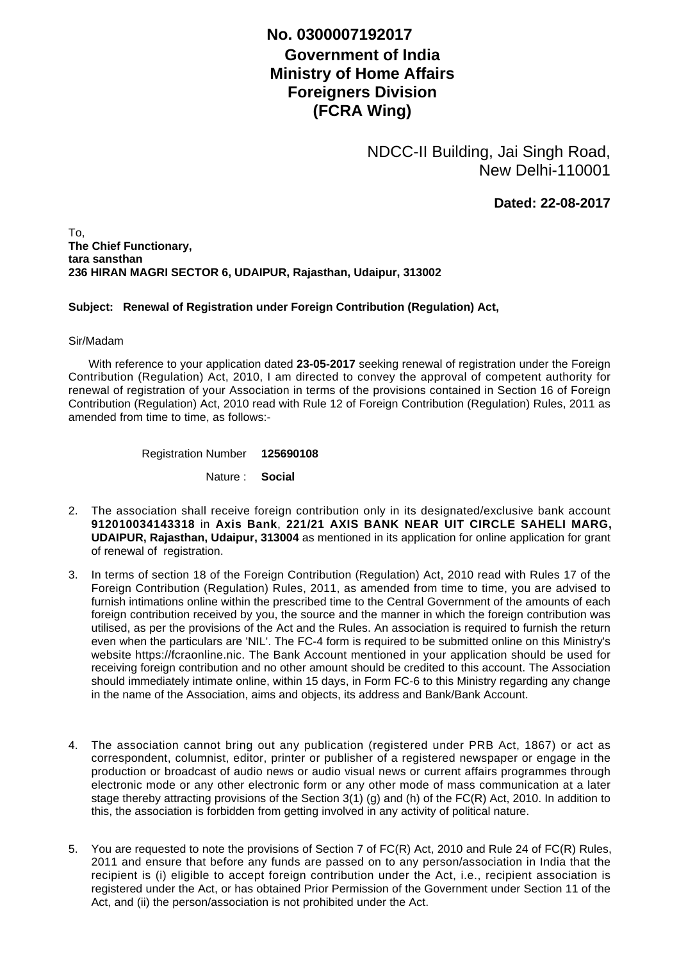## **No. 0300007192017**

## **Government of India Ministry of Home Affairs Foreigners Division (FCRA Wing)**

NDCC-II Building, Jai Singh Road, New Delhi-110001

**Dated: 22-08-2017**

To, **The Chief Functionary, tara sansthan 236 HIRAN MAGRI SECTOR 6, UDAIPUR, Rajasthan, Udaipur, 313002**

## **Subject: Renewal of Registration under Foreign Contribution (Regulation) Act,**

## Sir/Madam

 With reference to your application dated **23-05-2017** seeking renewal of registration under the Foreign Contribution (Regulation) Act, 2010, I am directed to convey the approval of competent authority for renewal of registration of your Association in terms of the provisions contained in Section 16 of Foreign Contribution (Regulation) Act, 2010 read with Rule 12 of Foreign Contribution (Regulation) Rules, 2011 as amended from time to time, as follows:-

> Registration Number **125690108**

> > Nature : **Social**

- The association shall receive foreign contribution only in its designated/exclusive bank account 2. **912010034143318** in **Axis Bank**, **221/21 AXIS BANK NEAR UIT CIRCLE SAHELI MARG, UDAIPUR, Rajasthan, Udaipur, 313004** as mentioned in its application for online application for grant of renewal of registration.
- 3. In terms of section 18 of the Foreign Contribution (Regulation) Act, 2010 read with Rules 17 of the Foreign Contribution (Regulation) Rules, 2011, as amended from time to time, you are advised to furnish intimations online within the prescribed time to the Central Government of the amounts of each foreign contribution received by you, the source and the manner in which the foreign contribution was utilised, as per the provisions of the Act and the Rules. An association is required to furnish the return even when the particulars are 'NIL'. The FC-4 form is required to be submitted online on this Ministry's website https://fcraonline.nic. The Bank Account mentioned in your application should be used for receiving foreign contribution and no other amount should be credited to this account. The Association should immediately intimate online, within 15 days, in Form FC-6 to this Ministry regarding any change in the name of the Association, aims and objects, its address and Bank/Bank Account.
- 4. The association cannot bring out any publication (registered under PRB Act, 1867) or act as correspondent, columnist, editor, printer or publisher of a registered newspaper or engage in the production or broadcast of audio news or audio visual news or current affairs programmes through electronic mode or any other electronic form or any other mode of mass communication at a later stage thereby attracting provisions of the Section 3(1) (g) and (h) of the FC(R) Act, 2010. In addition to this, the association is forbidden from getting involved in any activity of political nature.
- 5. You are requested to note the provisions of Section 7 of FC(R) Act, 2010 and Rule 24 of FC(R) Rules, 2011 and ensure that before any funds are passed on to any person/association in India that the recipient is (i) eligible to accept foreign contribution under the Act, i.e., recipient association is registered under the Act, or has obtained Prior Permission of the Government under Section 11 of the Act, and (ii) the person/association is not prohibited under the Act.